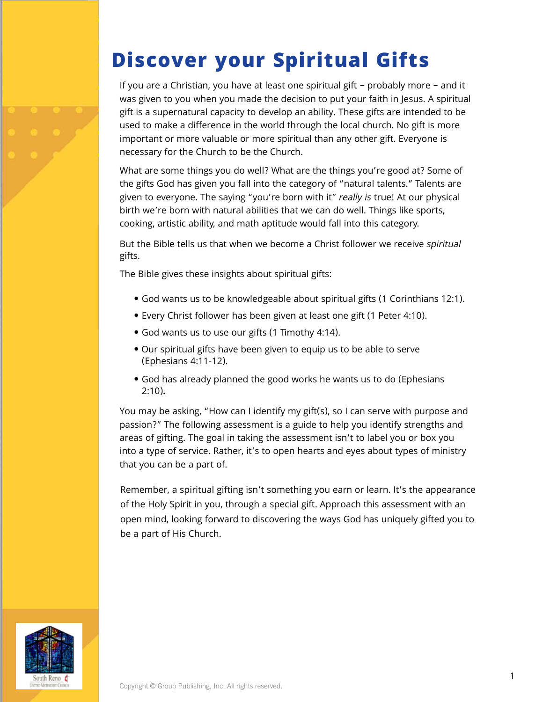## **Discover your Spiritual Gifts**

If you are a Christian, you have at least one spiritual gift – probably more – and it was given to you when you made the decision to put your faith in Jesus. A spiritual gift is a supernatural capacity to develop an ability. These gifts are intended to be used to make a difference in the world through the local church. No gift is more important or more valuable or more spiritual than any other gift. Everyone is necessary for the Church to be the Church.

What are some things you do well? What are the things you're good at? Some of the gifts God has given you fall into the category of "natural talents." Talents are given to everyone. The saying "you're born with it" really is true! At our physical birth we're born with natural abilities that we can do well. Things like sports, cooking, artistic ability, and math aptitude would fall into this category.

But the Bible tells us that when we become a Christ follower we receive spiritual gifts.

The Bible gives these insights about spiritual gifts:

- God wants us to be knowledgeable about spiritual gifts (1 Corinthians 12:1).
- Every Christ follower has been given at least one gift (1 Peter 4:10).
- God wants us to use our gifts (1 Timothy 4:14).
- Our spiritual gifts have been given to equip us to be able to serve (Ephesians 4:11-12).
- God has already planned the good works he wants us to do (Ephesians 2:10)**.**

You may be asking, "How can I identify my gift(s), so I can serve with purpose and passion?" The following assessment is a guide to help you identify strengths and areas of gifting. The goal in taking the assessment isn't to label you or box you into a type of service. Rather, it's to open hearts and eyes about types of ministry that you can be a part of.

Remember, a spiritual gifting isn't something you earn or learn. It's the appearance of the Holy Spirit in you, through a special gift. Approach this assessment with an open mind, looking forward to discovering the ways God has uniquely gifted you to be a part of His Church.

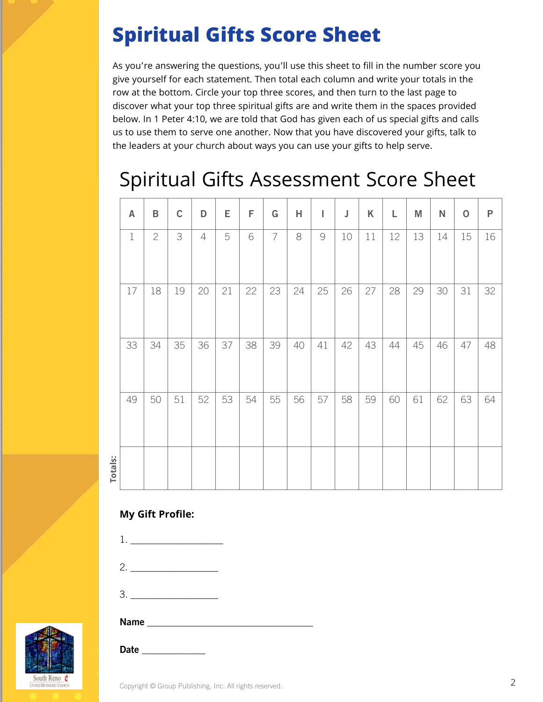## **Spiritual Gifts Score Sheet**

As you're answering the questions, you'll use this sheet to fill in the number score you give yourself for each statement. Then total each column and write your totals in the row at the bottom. Circle your top three scores, and then turn to the last page to discover what your top three spiritual gifts are and write them in the spaces provided below. In 1 Peter 4:10, we are told that God has given each of us special gifts and calls us to use them to serve one another. Now that you have discovered your gifts, talk to the leaders at your church about ways you can use your gifts to help serve.

### Spiritual Gifts Assessment Score Sheet

|         | A           | B            | $\mathsf C$ | D              | Е  | F  | G              | Н  | I                                                         | J  | Κ  | L  | M  | ${\sf N}$ | $\mathbf 0$ | $\mathsf{P}$ |
|---------|-------------|--------------|-------------|----------------|----|----|----------------|----|-----------------------------------------------------------|----|----|----|----|-----------|-------------|--------------|
|         | $\mathbf 1$ | $\mathbf{2}$ | 3           | $\overline{4}$ | 5  | 6  | $\overline{7}$ | 8  | $\mathcal{G}% _{M_{1},M_{2}}^{\alpha,\beta}(\mathcal{A})$ | 10 | 11 | 12 | 13 | 14        | 15          | 16           |
|         | 17          | 18           | 19          | 20             | 21 | 22 | 23             | 24 | 25                                                        | 26 | 27 | 28 | 29 | 30        | 31          | 32           |
|         | 33          | 34           | 35          | 36             | 37 | 38 | 39             | 40 | 41                                                        | 42 | 43 | 44 | 45 | 46        | 47          | 48           |
|         | 49          | 50           | 51          | 52             | 53 | 54 | 55             | 56 | 57                                                        | 58 | 59 | 60 | 61 | 62        | 63          | 64           |
| Totals: |             |              |             |                |    |    |                |    |                                                           |    |    |    |    |           |             |              |

**My Gift Profile:**



- 3. \_\_\_\_\_\_\_\_\_\_\_\_\_\_\_\_\_\_
	-

#### $Name$

Date \_\_\_\_\_\_\_\_\_\_\_\_\_

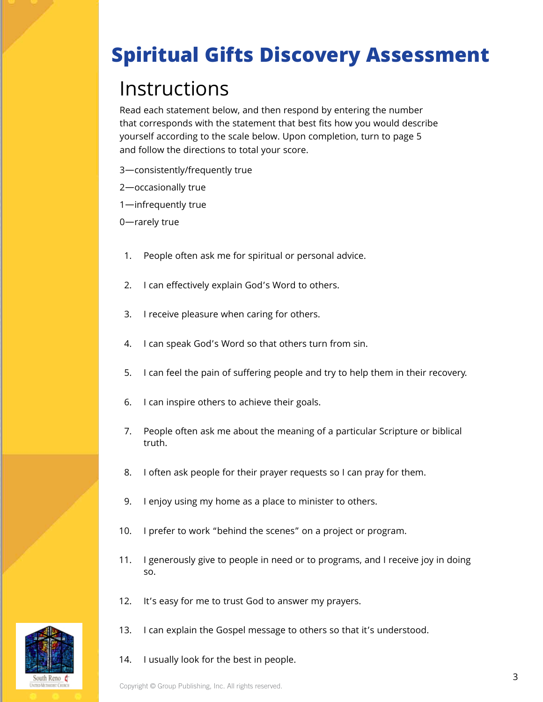# **Spiritual Gifts Discovery Assessment**

## Instructions

Read each statement below, and then respond by entering the number that corresponds with the statement that best fits how you would describe yourself according to the scale below. Upon completion, turn to page 5 and follow the directions to total your score.

- 3—consistently/frequently true
- 2—occasionally true
- 1—infrequently true

0—rarely true

- 1. People often ask me for spiritual or personal advice.
- 2. I can effectively explain God's Word to others.
- 3. I receive pleasure when caring for others.
- 4. I can speak God's Word so that others turn from sin.
- 5. I can feel the pain of suffering people and try to help them in their recovery.
- 6. I can inspire others to achieve their goals.
- 7. People often ask me about the meaning of a particular Scripture or biblical truth.
- 8. I often ask people for their prayer requests so I can pray for them.
- 9. I enjoy using my home as a place to minister to others.
- 10. I prefer to work "behind the scenes" on a project or program.
- 11. I generously give to people in need or to programs, and I receive joy in doing so.
- 12. It's easy for me to trust God to answer my prayers.
- 13. I can explain the Gospel message to others so that it's understood.
- 14. I usually look for the best in people.

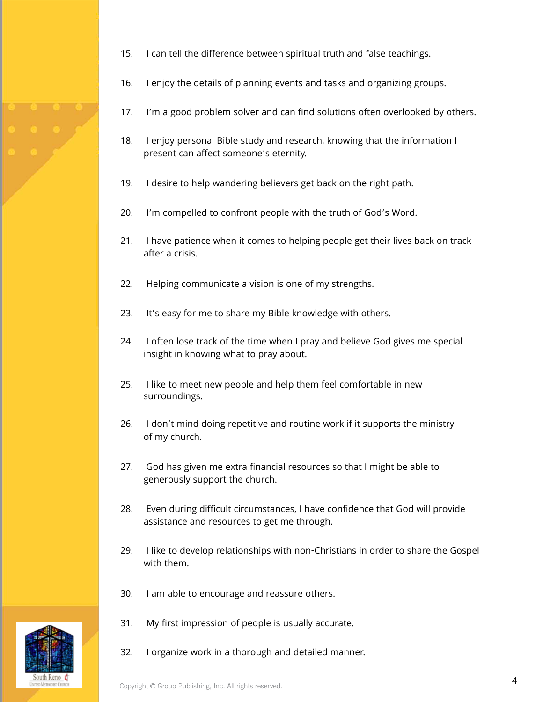- 15. I can tell the difference between spiritual truth and false teachings.
- 16. I enjoy the details of planning events and tasks and organizing groups.
- 17. I'm a good problem solver and can find solutions often overlooked by others.
- 18. I enjoy personal Bible study and research, knowing that the information I present can affect someone's eternity.
- 19. I desire to help wandering believers get back on the right path.
- 20. I'm compelled to confront people with the truth of God's Word.
- 21. I have patience when it comes to helping people get their lives back on track after a crisis.
- 22. Helping communicate a vision is one of my strengths.
- 23. It's easy for me to share my Bible knowledge with others.
- 24. I often lose track of the time when I pray and believe God gives me special insight in knowing what to pray about.
- 25. I like to meet new people and help them feel comfortable in new surroundings.
- 26. I don't mind doing repetitive and routine work if it supports the ministry of my church.
- 27. God has given me extra financial resources so that I might be able to generously support the church.
- 28. Even during difficult circumstances, I have confidence that God will provide assistance and resources to get me through.
- 29. I like to develop relationships with non-Christians in order to share the Gospel with them.
- 30. I am able to encourage and reassure others.
- 31. My first impression of people is usually accurate.
- 32. I organize work in a thorough and detailed manner.

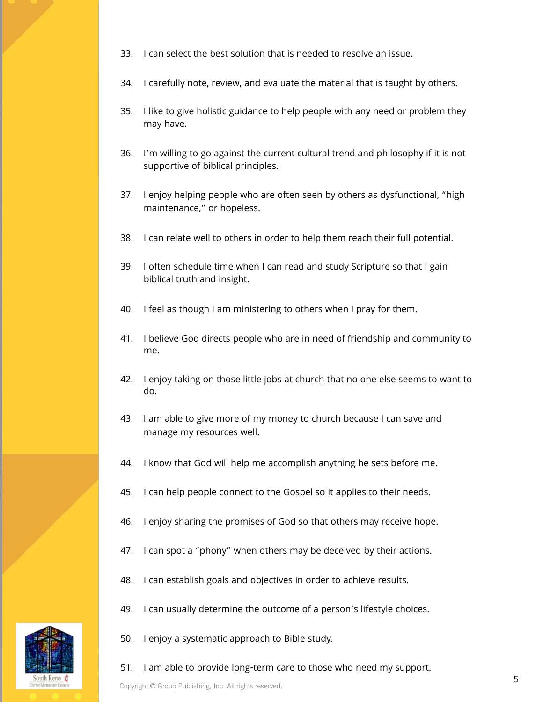- 33. I can select the best solution that is needed to resolve an issue.
- 34. I carefully note, review, and evaluate the material that is taught by others.
- 35. I like to give holistic guidance to help people with any need or problem they may have.
- 36. I'm willing to go against the current cultural trend and philosophy if it is not supportive of biblical principles.
- 37. I enjoy helping people who are often seen by others as dysfunctional, "high maintenance," or hopeless.
- 38. I can relate well to others in order to help them reach their full potential.
- 39. I often schedule time when I can read and study Scripture so that I gain biblical truth and insight.
- 40. I feel as though I am ministering to others when I pray for them.
- 41. I believe God directs people who are in need of friendship and community to me.
- 42. I enjoy taking on those little jobs at church that no one else seems to want to do.
- 43. I am able to give more of my money to church because I can save and manage my resources well.
- 44. I know that God will help me accomplish anything he sets before me.
- 45. I can help people connect to the Gospel so it applies to their needs.
- 46. I enjoy sharing the promises of God so that others may receive hope.
- 47. I can spot a "phony" when others may be deceived by their actions.
- 48. I can establish goals and objectives in order to achieve results.
- 49. I can usually determine the outcome of a person's lifestyle choices.
- 50. I enjoy a systematic approach to Bible study.
- 51. I am able to provide long-term care to those who need my support.

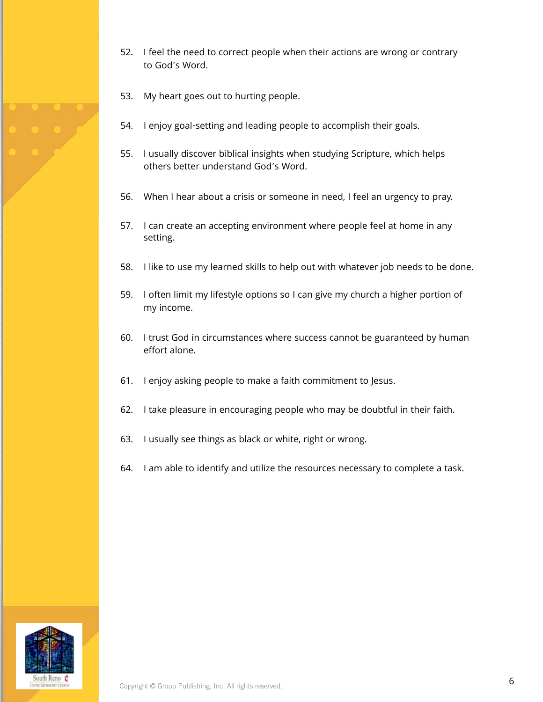- 52. I feel the need to correct people when their actions are wrong or contrary to God's Word.
- 53. My heart goes out to hurting people.
- 54. I enjoy goal-setting and leading people to accomplish their goals.
- 55. I usually discover biblical insights when studying Scripture, which helps others better understand God's Word.
- 56. When I hear about a crisis or someone in need, I feel an urgency to pray.
- 57. I can create an accepting environment where people feel at home in any setting.
- 58. I like to use my learned skills to help out with whatever job needs to be done.
- 59. I often limit my lifestyle options so I can give my church a higher portion of my income.
- 60. I trust God in circumstances where success cannot be guaranteed by human effort alone.
- 61. I enjoy asking people to make a faith commitment to Jesus.
- 62. I take pleasure in encouraging people who may be doubtful in their faith.
- 63. I usually see things as black or white, right or wrong.
- 64. I am able to identify and utilize the resources necessary to complete a task.